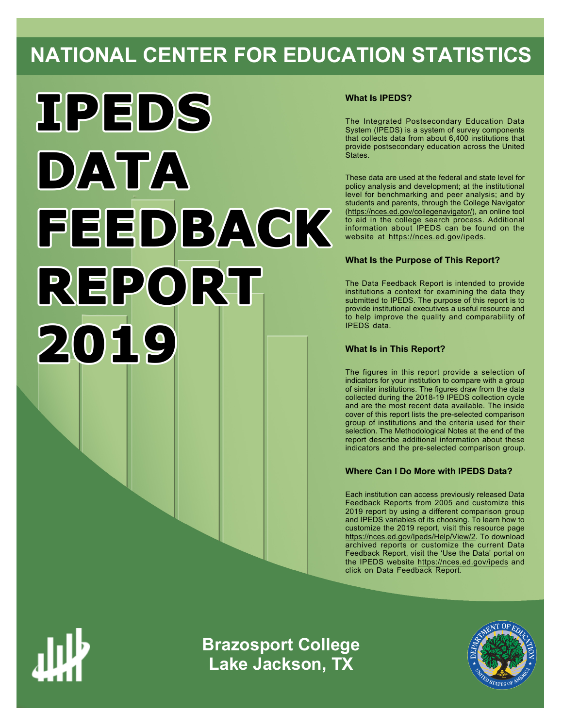# **NATIONAL CENTER FOR EDUCATION STATISTICS**



# **What Is IPEDS?**

The Integrated Postsecondary Education Data System (IPEDS) is a system of survey components that collects data from about 6,400 institutions that provide postsecondary education across the United States.

These data are used at the federal and state level for policy analysis and development; at the institutional level for benchmarking and peer analysis; and by students and parents, through the College Navigator ([https://nces.ed.gov/collegenavigator/\)](https://nces.ed.gov/collegenavigator/), an online tool to aid in the college search process. Additional information about IPEDS can be found on the website at<https://nces.ed.gov/ipeds>.

# **What Is the Purpose of This Report?**

The Data Feedback Report is intended to provide institutions a context for examining the data they submitted to IPEDS. The purpose of this report is to provide institutional executives a useful resource and to help improve the quality and comparability of IPEDS data.

# **What Is in This Report?**

The figures in this report provide a selection of indicators for your institution to compare with a group of similar institutions. The figures draw from the data collected during the 2018-19 IPEDS collection cycle and are the most recent data available. The inside cover of this report lists the pre-selected comparison group of institutions and the criteria used for their selection. The Methodological Notes at the end of the report describe additional information about these indicators and the pre-selected comparison group.

# **Where Can I Do More with IPEDS Data?**

Each institution can access previously released Data Feedback Reports from 2005 and customize this 2019 report by using a different comparison group and IPEDS variables of its choosing. To learn how to customize the 2019 report, visit this resource page <https://nces.ed.gov/Ipeds/Help/View/2>. To download archived reports or customize the current Data Feedback Report, visit the 'Use the Data' portal on the IPEDS website<https://nces.ed.gov/ipeds> and click on Data Feedback Report.



**Brazosport College Lake Jackson, TX**

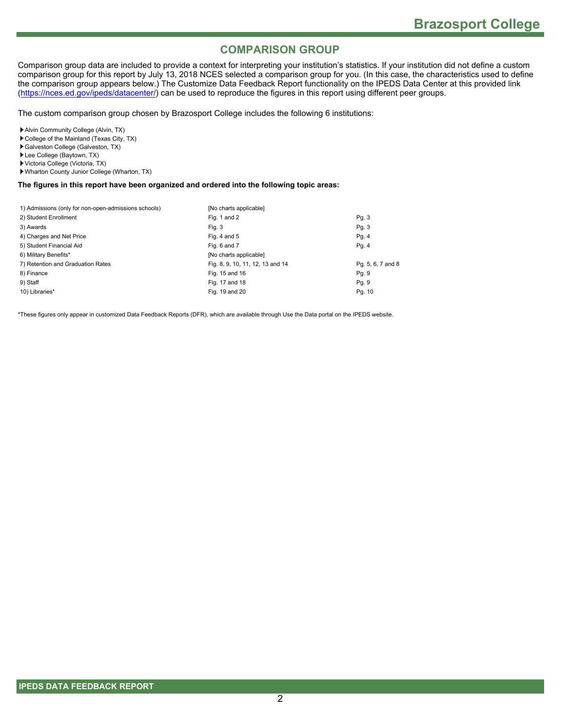# **COMPARISON GROUP**

Comparison group data are included to provide a context for interpreting your institution's statistics. If your institution did not define a custom comparison group for this report by July 13, 2018 NCES selected a comparison group for you. (In this case, the characteristics used to define the comparison group appears below.) The Customize Data Feedback Report functionality on the IPEDS Data Center at this provided link [\(https://nces.ed.gov/ipeds/datacenter/](https://nces.ed.gov/ipeds/datacenter/)) can be used to reproduce the figures in this report using different peer groups.

The custom comparison group chosen by Brazosport College includes the following 6 institutions:

Alvin Community College (Alvin, TX)

- College of the Mainland (Texas City, TX)
- Galveston College (Galveston, TX)
- Lee College (Baytown, TX)
- Victoria College (Victoria, TX)
- Wharton County Junior College (Wharton, TX)

#### **The figures in this report have been organized and ordered into the following topic areas:**

| 1) Admissions (only for non-open-admissions schools) | [No charts applicable]           |                   |
|------------------------------------------------------|----------------------------------|-------------------|
| 2) Student Enrollment                                | Fig. 1 and 2                     | Pg. 3             |
| 3) Awards                                            | Fia. 3                           | Pg. 3             |
| 4) Charges and Net Price                             | Fig. 4 and $5$                   | Pg. 4             |
| 5) Student Financial Aid                             | Fig. 6 and 7                     | Pg. 4             |
| 6) Military Benefits*                                | [No charts applicable]           |                   |
| 7) Retention and Graduation Rates                    | Fig. 8, 9, 10, 11, 12, 13 and 14 | Pg. 5, 6, 7 and 8 |
| 8) Finance                                           | Fig. 15 and 16                   | Pg. 9             |
| 9) Staff                                             | Fig. 17 and 18                   | Pg. 9             |
| 10) Libraries*                                       | Fig. 19 and 20                   | Pg. 10            |

\*These figures only appear in customized Data Feedback Reports (DFR), which are available through Use the Data portal on the IPEDS website.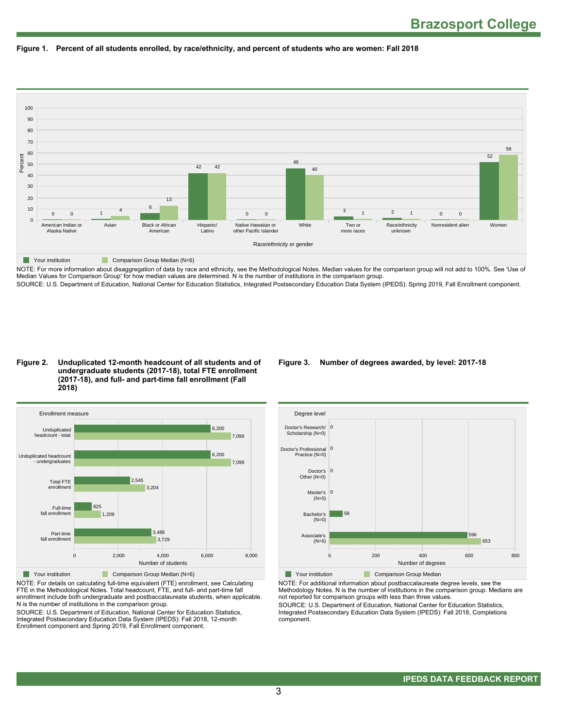



NOTE: For more information about disaggregation of data by race and ethnicity, see the Methodological Notes. Median values for the comparison group will not add to 100%. See 'Use of Median Values for Comparison Group' for how median values are determined. N is the number of institutions in the comparison group. SOURCE: U.S. Department of Education, National Center for Education Statistics, Integrated Postsecondary Education Data System (IPEDS): Spring 2019, Fall Enrollment component.

#### **Figure 2. Unduplicated 12-month headcount of all students and of undergraduate students (2017-18), total FTE enrollment (2017-18), and full- and part-time fall enrollment (Fall 2018)**



NOTE: For details on calculating full-time equivalent (FTE) enrollment, see Calculating FTE in the Methodological Notes. Total headcount, FTE, and full- and part-time fall enrollment include both undergraduate and postbaccalaureate students, when applicable. N is the number of institutions in the comparison group.

SOURCE: U.S. Department of Education, National Center for Education Statistics, Integrated Postsecondary Education Data System (IPEDS): Fall 2018, 12-month Enrollment component and Spring 2019, Fall Enrollment component.

#### **Figure 3. Number of degrees awarded, by level: 2017-18**



NOTE: For additional information about postbaccalaureate degree levels, see the Methodology Notes. N is the number of institutions in the comparison group. Medians are not reported for comparison groups with less than three values. SOURCE: U.S. Department of Education, National Center for Education Statistics,

Integrated Postsecondary Education Data System (IPEDS): Fall 2018, Completions component.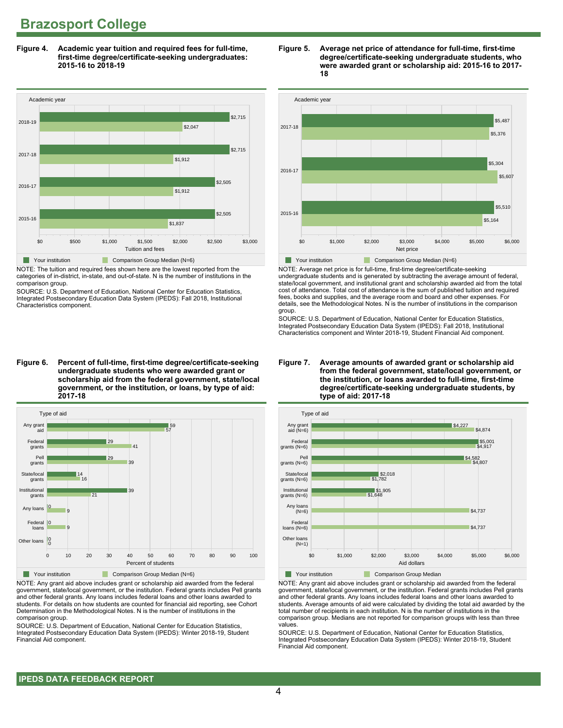**Figure 4. Academic year tuition and required fees for full-time, first-time degree/certificate-seeking undergraduates: 2015-16 to 2018-19**



NOTE: The tuition and required fees shown here are the lowest reported from the categories of in-district, in-state, and out-of-state. N is the number of institutions in the comparison group.

SOURCE: U.S. Department of Education, National Center for Education Statistics, Integrated Postsecondary Education Data System (IPEDS): Fall 2018, Institutional Characteristics component.

**Figure 6. Percent of full-time, first-time degree/certificate-seeking undergraduate students who were awarded grant or scholarship aid from the federal government, state/local government, or the institution, or loans, by type of aid: 2017-18**



NOTE: Any grant aid above includes grant or scholarship aid awarded from the federal government, state/local government, or the institution. Federal grants includes Pell grants and other federal grants. Any loans includes federal loans and other loans awarded to students. For details on how students are counted for financial aid reporting, see Cohort Determination in the Methodological Notes. N is the number of institutions in the comparison group.

SOURCE: U.S. Department of Education, National Center for Education Statistics, Integrated Postsecondary Education Data System (IPEDS): Winter 2018-19, Student Financial Aid component.





NOTE: Average net price is for full-time, first-time degree/certificate-seeking undergraduate students and is generated by subtracting the average amount of federal, state/local government, and institutional grant and scholarship awarded aid from the total cost of attendance. Total cost of attendance is the sum of published tuition and required fees, books and supplies, and the average room and board and other expenses. For details, see the Methodological Notes. N is the number of institutions in the comparison group.

SOURCE: U.S. Department of Education, National Center for Education Statistics, Integrated Postsecondary Education Data System (IPEDS): Fall 2018, Institutional Characteristics component and Winter 2018-19, Student Financial Aid component.





**The Your institution Comparison Group Median** 

NOTE: Any grant aid above includes grant or scholarship aid awarded from the federal government, state/local government, or the institution. Federal grants includes Pell grants and other federal grants. Any loans includes federal loans and other loans awarded to students. Average amounts of aid were calculated by dividing the total aid awarded by the total number of recipients in each institution. N is the number of institutions in the comparison group. Medians are not reported for comparison groups with less than three values.

SOURCE: U.S. Department of Education, National Center for Education Statistics, Integrated Postsecondary Education Data System (IPEDS): Winter 2018-19, Student Financial Aid component.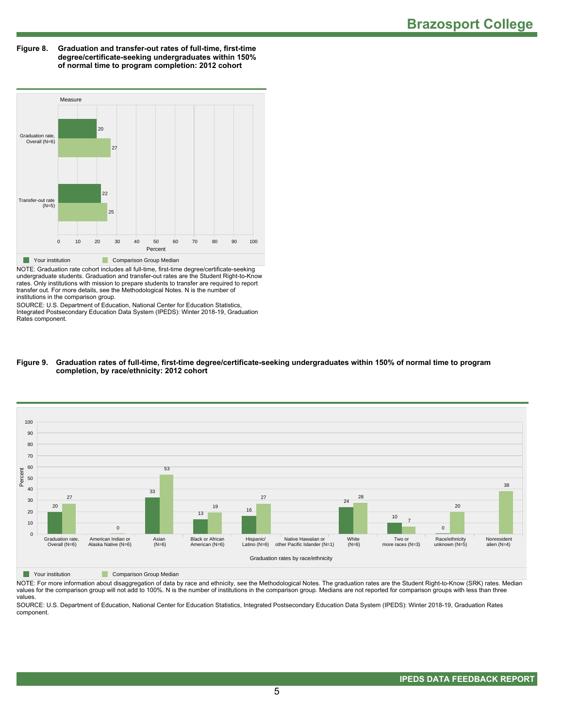**Figure 8. Graduation and transfer-out rates of full-time, first-time degree/certificate-seeking undergraduates within 150% of normal time to program completion: 2012 cohort**



NOTE: Graduation rate cohort includes all full-time, first-time degree/certificate-seeking undergraduate students. Graduation and transfer-out rates are the Student Right-to-Know rates. Only institutions with mission to prepare students to transfer are required to report transfer out. For more details, see the Methodological Notes. N is the number of institutions in the comparison group.

SOURCE: U.S. Department of Education, National Center for Education Statistics, Integrated Postsecondary Education Data System (IPEDS): Winter 2018-19, Graduation Rates component.

#### **Figure 9. Graduation rates of full-time, first-time degree/certificate-seeking undergraduates within 150% of normal time to program completion, by race/ethnicity: 2012 cohort**



**Nour institution Comparison Group Median** 

NOTE: For more information about disaggregation of data by race and ethnicity, see the Methodological Notes. The graduation rates are the Student Right-to-Know (SRK) rates. Median values for the comparison group will not add to 100%. N is the number of institutions in the comparison group. Medians are not reported for comparison groups with less than three values.

SOURCE: U.S. Department of Education, National Center for Education Statistics, Integrated Postsecondary Education Data System (IPEDS): Winter 2018-19, Graduation Rates component.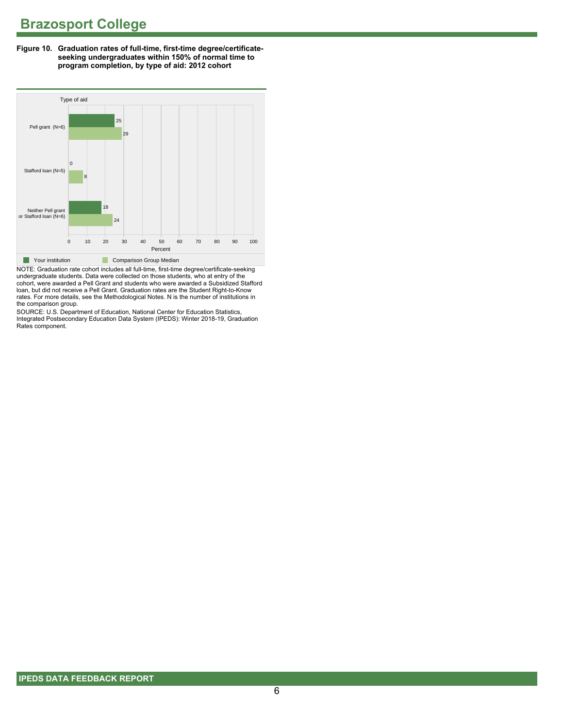**Figure 10. Graduation rates of full-time, first-time degree/certificateseeking undergraduates within 150% of normal time to program completion, by type of aid: 2012 cohort**



NOTE: Graduation rate cohort includes all full-time, first-time degree/certificate-seeking undergraduate students. Data were collected on those students, who at entry of the cohort, were awarded a Pell Grant and students who were awarded a Subsidized Stafford loan, but did not receive a Pell Grant. Graduation rates are the Student Right-to-Know rates. For more details, see the Methodological Notes. N is the number of institutions in the comparison group.

SOURCE: U.S. Department of Education, National Center for Education Statistics, Integrated Postsecondary Education Data System (IPEDS): Winter 2018-19, Graduation Rates component.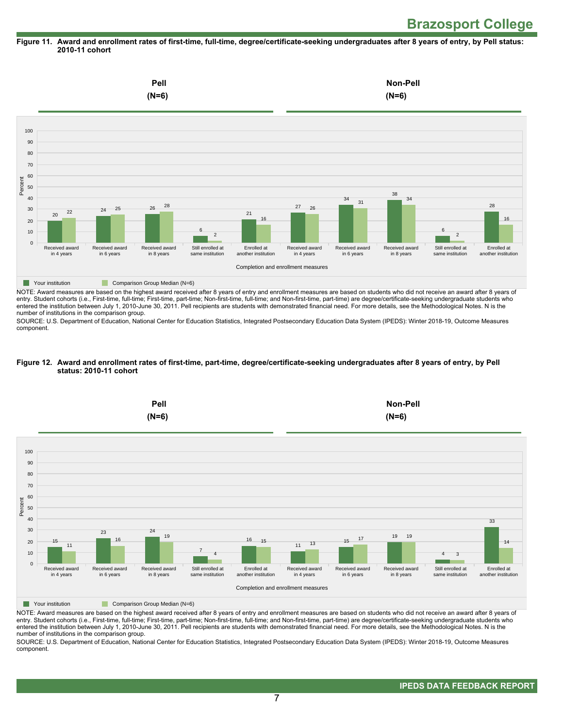#### **Figure 11. Award and enrollment rates of first-time, full-time, degree/certificate-seeking undergraduates after 8 years of entry, by Pell status: 2010-11 cohort**



NOTE: Award measures are based on the highest award received after 8 years of entry and enrollment measures are based on students who did not receive an award after 8 years of entry. Student cohorts (i.e., First-time, full-time; First-time, part-time; Non-first-time, full-time; and Non-first-time, part-time) are degree/certificate-seeking undergraduate students who entered the institution between July 1, 2010-June 30, 2011. Pell recipients are students with demonstrated financial need. For more details, see the Methodological Notes. N is the number of institutions in the comparison group.

SOURCE: U.S. Department of Education, National Center for Education Statistics, Integrated Postsecondary Education Data System (IPEDS): Winter 2018-19, Outcome Measures component.

#### **Figure 12. Award and enrollment rates of first-time, part-time, degree/certificate-seeking undergraduates after 8 years of entry, by Pell status: 2010-11 cohort**



NOTE: Award measures are based on the highest award received after 8 years of entry and enrollment measures are based on students who did not receive an award after 8 years of entry. Student cohorts (i.e., First-time, full-time; First-time, part-time; Non-first-time, full-time; and Non-first-time, part-time) are degree/certificate-seeking undergraduate students who entered the institution between July 1, 2010-June 30, 2011. Pell recipients are students with demonstrated financial need. For more details, see the Methodological Notes. N is the number of institutions in the comparison group.

SOURCE: U.S. Department of Education, National Center for Education Statistics, Integrated Postsecondary Education Data System (IPEDS): Winter 2018-19, Outcome Measures component.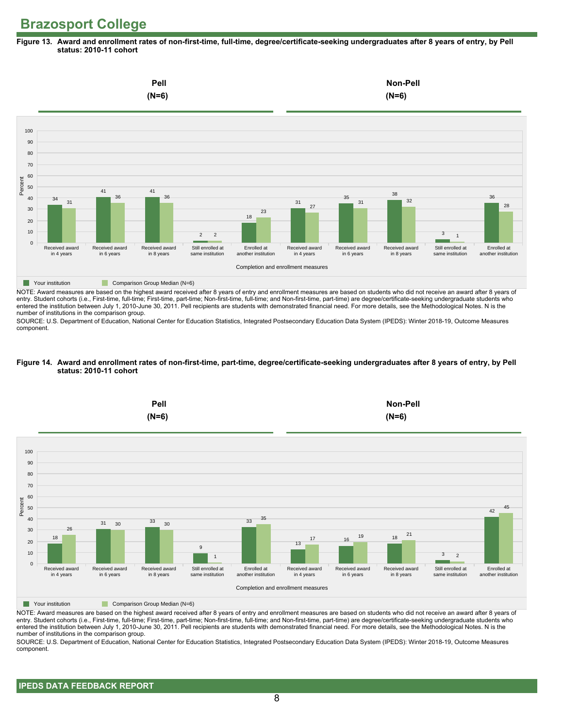**Figure 13. Award and enrollment rates of non-first-time, full-time, degree/certificate-seeking undergraduates after 8 years of entry, by Pell status: 2010-11 cohort**



NOTE: Award measures are based on the highest award received after 8 years of entry and enrollment measures are based on students who did not receive an award after 8 years of entry. Student cohorts (i.e., First-time, full-time; First-time, part-time; Non-first-time, full-time; and Non-first-time, part-time) are degree/certificate-seeking undergraduate students who entered the institution between July 1, 2010-June 30, 2011. Pell recipients are students with demonstrated financial need. For more details, see the Methodological Notes. N is the number of institutions in the comparison group.

SOURCE: U.S. Department of Education, National Center for Education Statistics, Integrated Postsecondary Education Data System (IPEDS): Winter 2018-19, Outcome Measures component.

#### **Figure 14. Award and enrollment rates of non-first-time, part-time, degree/certificate-seeking undergraduates after 8 years of entry, by Pell status: 2010-11 cohort**



NOTE: Award measures are based on the highest award received after 8 years of entry and enrollment measures are based on students who did not receive an award after 8 years of entry. Student cohorts (i.e., First-time, full-time; First-time, part-time; Non-first-time, full-time; and Non-first-time, part-time) are degree/certificate-seeking undergraduate students who entered the institution between July 1, 2010-June 30, 2011. Pell recipients are students with demonstrated financial need. For more details, see the Methodological Notes. N is the number of institutions in the comparison group.

SOURCE: U.S. Department of Education, National Center for Education Statistics, Integrated Postsecondary Education Data System (IPEDS): Winter 2018-19, Outcome Measures component.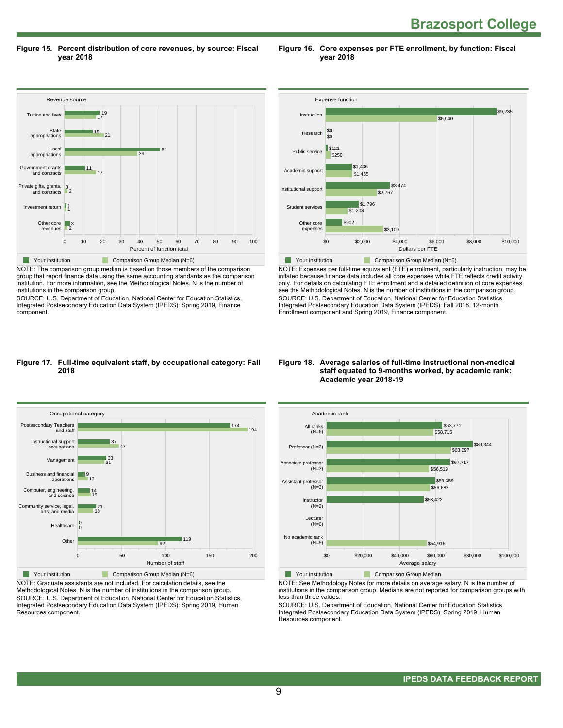**Brazosport College** 

**Figure 15. Percent distribution of core revenues, by source: Fiscal year 2018**

Revenue source 0 10 20 30 40 50 60 70 80 90 100 Percent of function total Other core revenues Investment return 1 Private gifts, grants, 10<br>and contracts Government grants and contracts Local appropriations State appropriations Tuition and fees 2 3 147 11 39 51  $\overline{21}$  $15$  $\frac{1}{17}$ 19 ■ Your institution Comparison Group Median (N=6)

NOTE: The comparison group median is based on those members of the comparison group that report finance data using the same accounting standards as the comparison institution. For more information, see the Methodological Notes. N is the number of institutions in the comparison group.

SOURCE: U.S. Department of Education, National Center for Education Statistics, Integrated Postsecondary Education Data System (IPEDS): Spring 2019, Finance component.



**Figure 16. Core expenses per FTE enrollment, by function: Fiscal**

**year 2018**

NOTE: Expenses per full-time equivalent (FTE) enrollment, particularly instruction, may be inflated because finance data includes all core expenses while FTE reflects credit activity only. For details on calculating FTE enrollment and a detailed definition of core expenses, see the Methodological Notes. N is the number of institutions in the comparison group. SOURCE: U.S. Department of Education, National Center for Education Statistics, Integrated Postsecondary Education Data System (IPEDS): Fall 2018, 12-month Enrollment component and Spring 2019, Finance component.

#### **Figure 17. Full-time equivalent staff, by occupational category: Fall 2018**



NOTE: Graduate assistants are not included. For calculation details, see the Methodological Notes. N is the number of institutions in the comparison group. SOURCE: U.S. Department of Education, National Center for Education Statistics, Integrated Postsecondary Education Data System (IPEDS): Spring 2019, Human Resources component.

#### **Figure 18. Average salaries of full-time instructional non-medical staff equated to 9-months worked, by academic rank: Academic year 2018-19**



NOTE: See Methodology Notes for more details on average salary. N is the number of institutions in the comparison group. Medians are not reported for comparison groups with less than three values.

SOURCE: U.S. Department of Education, National Center for Education Statistics, Integrated Postsecondary Education Data System (IPEDS): Spring 2019, Human Resources component.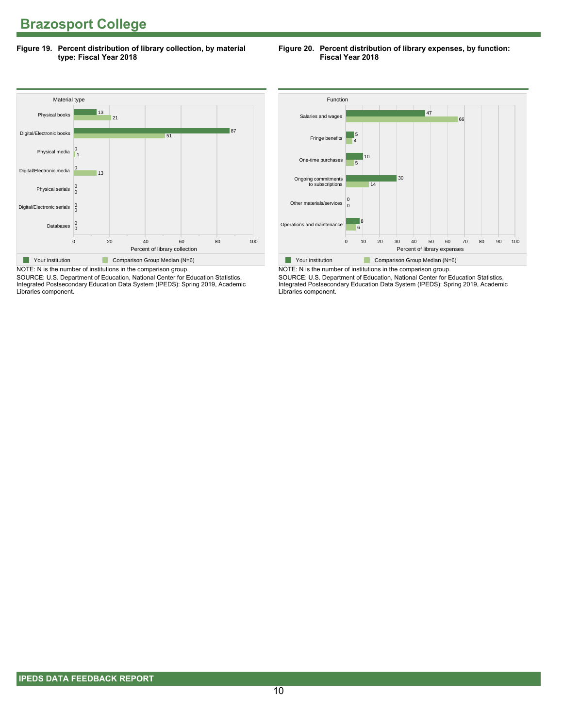**Figure 19. Percent distribution of library collection, by material type: Fiscal Year 2018**

#### **Figure 20. Percent distribution of library expenses, by function: Fiscal Year 2018**



SOURCE: U.S. Department of Education, National Center for Education Statistics, Integrated Postsecondary Education Data System (IPEDS): Spring 2019, Academic Libraries component.



NOTE: N is the number of institutions in the comparison group. SOURCE: U.S. Department of Education, National Center for Education Statistics, Integrated Postsecondary Education Data System (IPEDS): Spring 2019, Academic Libraries component.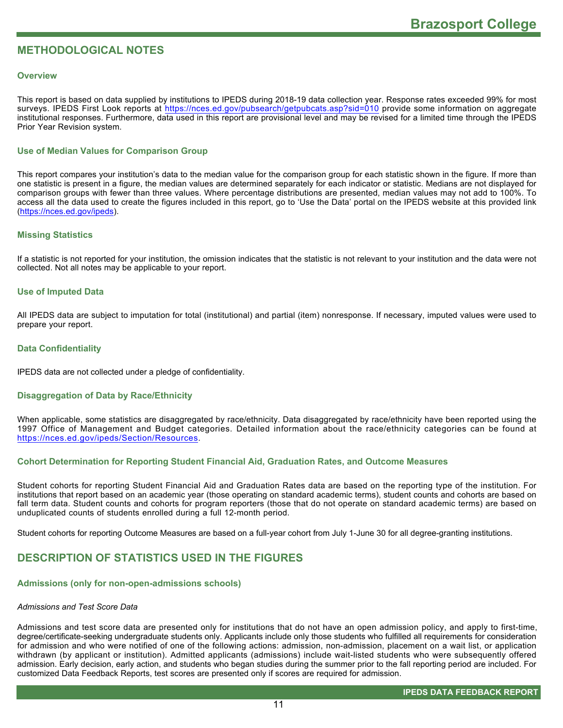# **METHODOLOGICAL NOTES**

#### **Overview**

This report is based on data supplied by institutions to IPEDS during 2018-19 data collection year. Response rates exceeded 99% for most surveys. IPEDS First Look reports at<https://nces.ed.gov/pubsearch/getpubcats.asp?sid=010> provide some information on aggregate institutional responses. Furthermore, data used in this report are provisional level and may be revised for a limited time through the IPEDS Prior Year Revision system.

# **Use of Median Values for Comparison Group**

This report compares your institution's data to the median value for the comparison group for each statistic shown in the figure. If more than one statistic is present in a figure, the median values are determined separately for each indicator or statistic. Medians are not displayed for comparison groups with fewer than three values. Where percentage distributions are presented, median values may not add to 100%. To access all the data used to create the figures included in this report, go to 'Use the Data' portal on the IPEDS website at this provided link ([https://nces.ed.gov/ipeds\)](https://nces.ed.gov/ipeds).

## **Missing Statistics**

If a statistic is not reported for your institution, the omission indicates that the statistic is not relevant to your institution and the data were not collected. Not all notes may be applicable to your report.

#### **Use of Imputed Data**

All IPEDS data are subject to imputation for total (institutional) and partial (item) nonresponse. If necessary, imputed values were used to prepare your report.

#### **Data Confidentiality**

IPEDS data are not collected under a pledge of confidentiality.

#### **Disaggregation of Data by Race/Ethnicity**

When applicable, some statistics are disaggregated by race/ethnicity. Data disaggregated by race/ethnicity have been reported using the 1997 Office of Management and Budget categories. Detailed information about the race/ethnicity categories can be found at <https://nces.ed.gov/ipeds/Section/Resources>.

#### **Cohort Determination for Reporting Student Financial Aid, Graduation Rates, and Outcome Measures**

Student cohorts for reporting Student Financial Aid and Graduation Rates data are based on the reporting type of the institution. For institutions that report based on an academic year (those operating on standard academic terms), student counts and cohorts are based on fall term data. Student counts and cohorts for program reporters (those that do not operate on standard academic terms) are based on unduplicated counts of students enrolled during a full 12-month period.

Student cohorts for reporting Outcome Measures are based on a full-year cohort from July 1-June 30 for all degree-granting institutions.

# **DESCRIPTION OF STATISTICS USED IN THE FIGURES**

## **Admissions (only for non-open-admissions schools)**

#### *Admissions and Test Score Data*

Admissions and test score data are presented only for institutions that do not have an open admission policy, and apply to first-time, degree/certificate-seeking undergraduate students only. Applicants include only those students who fulfilled all requirements for consideration for admission and who were notified of one of the following actions: admission, non-admission, placement on a wait list, or application withdrawn (by applicant or institution). Admitted applicants (admissions) include wait-listed students who were subsequently offered admission. Early decision, early action, and students who began studies during the summer prior to the fall reporting period are included. For customized Data Feedback Reports, test scores are presented only if scores are required for admission.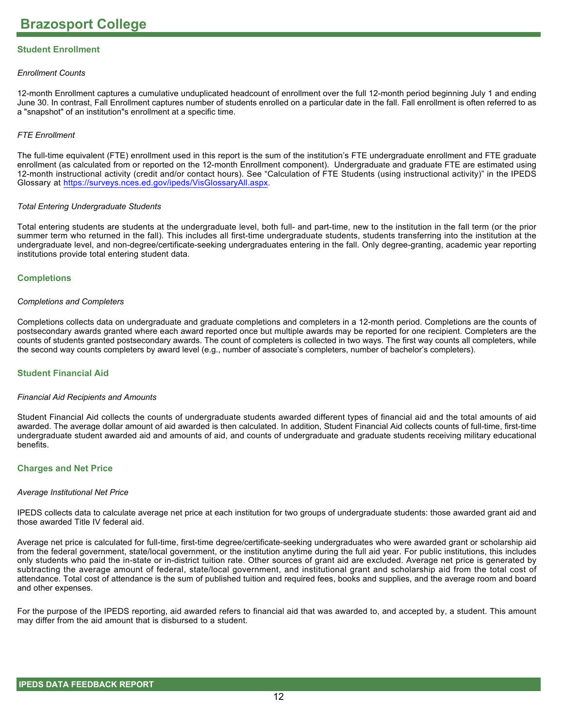# **Student Enrollment**

#### *Enrollment Counts*

12-month Enrollment captures a cumulative unduplicated headcount of enrollment over the full 12-month period beginning July 1 and ending June 30. In contrast, Fall Enrollment captures number of students enrolled on a particular date in the fall. Fall enrollment is often referred to as a "snapshot" of an institution"s enrollment at a specific time.

#### *FTE Enrollment*

The full-time equivalent (FTE) enrollment used in this report is the sum of the institution's FTE undergraduate enrollment and FTE graduate enrollment (as calculated from or reported on the 12-month Enrollment component). Undergraduate and graduate FTE are estimated using 12-month instructional activity (credit and/or contact hours). See "Calculation of FTE Students (using instructional activity)" in the IPEDS Glossary at <https://surveys.nces.ed.gov/ipeds/VisGlossaryAll.aspx>.

#### *Total Entering Undergraduate Students*

Total entering students are students at the undergraduate level, both full- and part-time, new to the institution in the fall term (or the prior summer term who returned in the fall). This includes all first-time undergraduate students, students transferring into the institution at the undergraduate level, and non-degree/certificate-seeking undergraduates entering in the fall. Only degree-granting, academic year reporting institutions provide total entering student data.

#### **Completions**

#### *Completions and Completers*

Completions collects data on undergraduate and graduate completions and completers in a 12-month period. Completions are the counts of postsecondary awards granted where each award reported once but multiple awards may be reported for one recipient. Completers are the counts of students granted postsecondary awards. The count of completers is collected in two ways. The first way counts all completers, while the second way counts completers by award level (e.g., number of associate's completers, number of bachelor's completers).

#### **Student Financial Aid**

#### *Financial Aid Recipients and Amounts*

Student Financial Aid collects the counts of undergraduate students awarded different types of financial aid and the total amounts of aid awarded. The average dollar amount of aid awarded is then calculated. In addition, Student Financial Aid collects counts of full-time, first-time undergraduate student awarded aid and amounts of aid, and counts of undergraduate and graduate students receiving military educational benefits.

#### **Charges and Net Price**

#### *Average Institutional Net Price*

IPEDS collects data to calculate average net price at each institution for two groups of undergraduate students: those awarded grant aid and those awarded Title IV federal aid.

Average net price is calculated for full-time, first-time degree/certificate-seeking undergraduates who were awarded grant or scholarship aid from the federal government, state/local government, or the institution anytime during the full aid year. For public institutions, this includes only students who paid the in-state or in-district tuition rate. Other sources of grant aid are excluded. Average net price is generated by subtracting the average amount of federal, state/local government, and institutional grant and scholarship aid from the total cost of attendance. Total cost of attendance is the sum of published tuition and required fees, books and supplies, and the average room and board and other expenses.

For the purpose of the IPEDS reporting, aid awarded refers to financial aid that was awarded to, and accepted by, a student. This amount may differ from the aid amount that is disbursed to a student.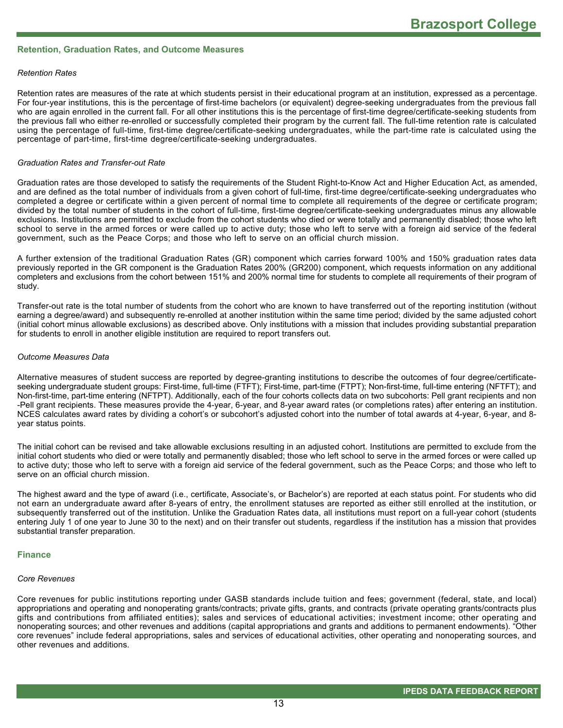## **Retention, Graduation Rates, and Outcome Measures**

#### *Retention Rates*

Retention rates are measures of the rate at which students persist in their educational program at an institution, expressed as a percentage. For four-year institutions, this is the percentage of first-time bachelors (or equivalent) degree-seeking undergraduates from the previous fall who are again enrolled in the current fall. For all other institutions this is the percentage of first-time degree/certificate-seeking students from the previous fall who either re-enrolled or successfully completed their program by the current fall. The full-time retention rate is calculated using the percentage of full-time, first-time degree/certificate-seeking undergraduates, while the part-time rate is calculated using the percentage of part-time, first-time degree/certificate-seeking undergraduates.

#### *Graduation Rates and Transfer-out Rate*

Graduation rates are those developed to satisfy the requirements of the Student Right-to-Know Act and Higher Education Act, as amended, and are defined as the total number of individuals from a given cohort of full-time, first-time degree/certificate-seeking undergraduates who completed a degree or certificate within a given percent of normal time to complete all requirements of the degree or certificate program; divided by the total number of students in the cohort of full-time, first-time degree/certificate-seeking undergraduates minus any allowable exclusions. Institutions are permitted to exclude from the cohort students who died or were totally and permanently disabled; those who left school to serve in the armed forces or were called up to active duty; those who left to serve with a foreign aid service of the federal government, such as the Peace Corps; and those who left to serve on an official church mission.

A further extension of the traditional Graduation Rates (GR) component which carries forward 100% and 150% graduation rates data previously reported in the GR component is the Graduation Rates 200% (GR200) component, which requests information on any additional completers and exclusions from the cohort between 151% and 200% normal time for students to complete all requirements of their program of study.

Transfer-out rate is the total number of students from the cohort who are known to have transferred out of the reporting institution (without earning a degree/award) and subsequently re-enrolled at another institution within the same time period; divided by the same adjusted cohort (initial cohort minus allowable exclusions) as described above. Only institutions with a mission that includes providing substantial preparation for students to enroll in another eligible institution are required to report transfers out.

#### *Outcome Measures Data*

Alternative measures of student success are reported by degree-granting institutions to describe the outcomes of four degree/certificateseeking undergraduate student groups: First-time, full-time (FTFT); First-time, part-time (FTPT); Non-first-time, full-time entering (NFTFT); and Non-first-time, part-time entering (NFTPT). Additionally, each of the four cohorts collects data on two subcohorts: Pell grant recipients and non -Pell grant recipients. These measures provide the 4-year, 6-year, and 8-year award rates (or completions rates) after entering an institution. NCES calculates award rates by dividing a cohort's or subcohort's adjusted cohort into the number of total awards at 4-year, 6-year, and 8year status points.

The initial cohort can be revised and take allowable exclusions resulting in an adjusted cohort. Institutions are permitted to exclude from the initial cohort students who died or were totally and permanently disabled; those who left school to serve in the armed forces or were called up to active duty; those who left to serve with a foreign aid service of the federal government, such as the Peace Corps; and those who left to serve on an official church mission.

The highest award and the type of award (i.e., certificate, Associate's, or Bachelor's) are reported at each status point. For students who did not earn an undergraduate award after 8-years of entry, the enrollment statuses are reported as either still enrolled at the institution, or subsequently transferred out of the institution. Unlike the Graduation Rates data, all institutions must report on a full-year cohort (students entering July 1 of one year to June 30 to the next) and on their transfer out students, regardless if the institution has a mission that provides substantial transfer preparation.

#### **Finance**

#### *Core Revenues*

Core revenues for public institutions reporting under GASB standards include tuition and fees; government (federal, state, and local) appropriations and operating and nonoperating grants/contracts; private gifts, grants, and contracts (private operating grants/contracts plus gifts and contributions from affiliated entities); sales and services of educational activities; investment income; other operating and nonoperating sources; and other revenues and additions (capital appropriations and grants and additions to permanent endowments). "Other core revenues" include federal appropriations, sales and services of educational activities, other operating and nonoperating sources, and other revenues and additions.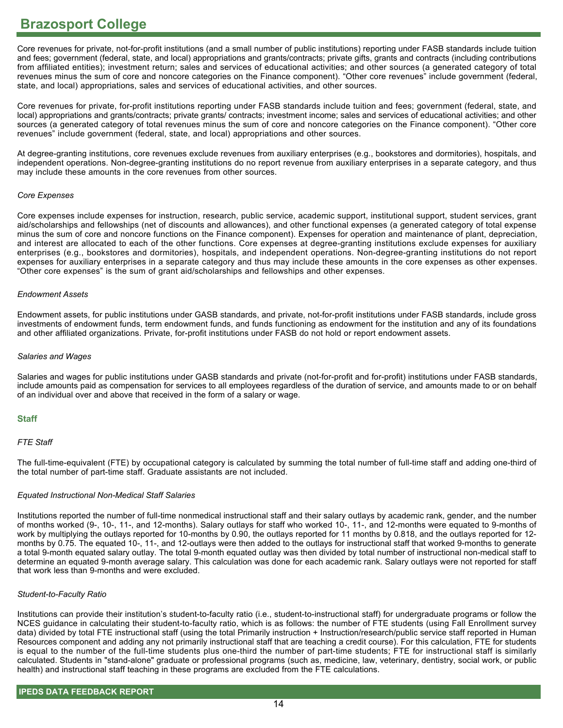Core revenues for private, not-for-profit institutions (and a small number of public institutions) reporting under FASB standards include tuition and fees; government (federal, state, and local) appropriations and grants/contracts; private gifts, grants and contracts (including contributions from affiliated entities); investment return; sales and services of educational activities; and other sources (a generated category of total revenues minus the sum of core and noncore categories on the Finance component). "Other core revenues" include government (federal, state, and local) appropriations, sales and services of educational activities, and other sources.

Core revenues for private, for-profit institutions reporting under FASB standards include tuition and fees; government (federal, state, and local) appropriations and grants/contracts; private grants/ contracts; investment income; sales and services of educational activities; and other sources (a generated category of total revenues minus the sum of core and noncore categories on the Finance component). "Other core revenues" include government (federal, state, and local) appropriations and other sources.

At degree-granting institutions, core revenues exclude revenues from auxiliary enterprises (e.g., bookstores and dormitories), hospitals, and independent operations. Non-degree-granting institutions do no report revenue from auxiliary enterprises in a separate category, and thus may include these amounts in the core revenues from other sources.

#### *Core Expenses*

Core expenses include expenses for instruction, research, public service, academic support, institutional support, student services, grant aid/scholarships and fellowships (net of discounts and allowances), and other functional expenses (a generated category of total expense minus the sum of core and noncore functions on the Finance component). Expenses for operation and maintenance of plant, depreciation, and interest are allocated to each of the other functions. Core expenses at degree-granting institutions exclude expenses for auxiliary enterprises (e.g., bookstores and dormitories), hospitals, and independent operations. Non-degree-granting institutions do not report expenses for auxiliary enterprises in a separate category and thus may include these amounts in the core expenses as other expenses. "Other core expenses" is the sum of grant aid/scholarships and fellowships and other expenses.

#### *Endowment Assets*

Endowment assets, for public institutions under GASB standards, and private, not-for-profit institutions under FASB standards, include gross investments of endowment funds, term endowment funds, and funds functioning as endowment for the institution and any of its foundations and other affiliated organizations. Private, for-profit institutions under FASB do not hold or report endowment assets.

#### *Salaries and Wages*

Salaries and wages for public institutions under GASB standards and private (not-for-profit and for-profit) institutions under FASB standards, include amounts paid as compensation for services to all employees regardless of the duration of service, and amounts made to or on behalf of an individual over and above that received in the form of a salary or wage.

## **Staff**

## *FTE Staff*

The full-time-equivalent (FTE) by occupational category is calculated by summing the total number of full-time staff and adding one-third of the total number of part-time staff. Graduate assistants are not included.

## *Equated Instructional Non-Medical Staff Salaries*

Institutions reported the number of full-time nonmedical instructional staff and their salary outlays by academic rank, gender, and the number of months worked (9-, 10-, 11-, and 12-months). Salary outlays for staff who worked 10-, 11-, and 12-months were equated to 9-months of work by multiplying the outlays reported for 10-months by 0.90, the outlays reported for 11 months by 0.818, and the outlays reported for 12 months by 0.75. The equated 10-, 11-, and 12-outlays were then added to the outlays for instructional staff that worked 9-months to generate a total 9-month equated salary outlay. The total 9-month equated outlay was then divided by total number of instructional non-medical staff to determine an equated 9-month average salary. This calculation was done for each academic rank. Salary outlays were not reported for staff that work less than 9-months and were excluded.

## *Student-to-Faculty Ratio*

Institutions can provide their institution's student-to-faculty ratio (i.e., student-to-instructional staff) for undergraduate programs or follow the NCES guidance in calculating their student-to-faculty ratio, which is as follows: the number of FTE students (using Fall Enrollment survey data) divided by total FTE instructional staff (using the total Primarily instruction + Instruction/research/public service staff reported in Human Resources component and adding any not primarily instructional staff that are teaching a credit course). For this calculation, FTE for students is equal to the number of the full-time students plus one-third the number of part-time students; FTE for instructional staff is similarly calculated. Students in "stand-alone" graduate or professional programs (such as, medicine, law, veterinary, dentistry, social work, or public health) and instructional staff teaching in these programs are excluded from the FTE calculations.